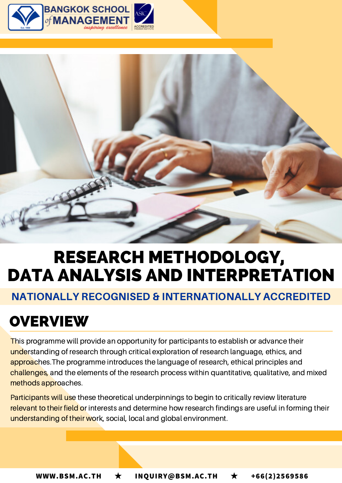



# RESEARCH METHODOLOGY, DATA ANALYSIS AND INTERPRETATION

## NATIONALLY RECOGNISED & INTERNATIONALLY ACCREDITED

# **OVERVIEW**

This programme will provide an opportunity for participants to establish or advance their understanding of research through critical exploration of research language, ethics, and approaches. The programme introduces the language of research, ethical principles and challenges, and the elements of the research process within quantitative, qualitative, and mixed methods approaches.

Participants will use these theoretical underpinnings to begin to critically review literature relevant to their field or interests and determine how research findings are useful in forming their understanding of their work, social, local and global environment.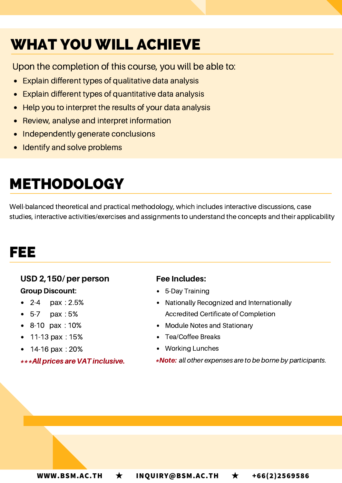# WHAT YOU WILL ACHIEVE

Upon the completion of this course, you will be able to:

- Explain different types of qualitative data analysis
- Explain different types of quantitative data analysis
- Help you to interpret the results of your data analysis
- Review, analyse and interpret information
- Independently generate conclusions
- Identify and solve problems

# METHODOLOGY

Well-balanced theoretical and practical methodology, which includes interactive discussions, case studies, interactive activities/exercises and assignments to understand the concepts and their applicability

# FEE

### USD 2,150/ per person Group Discount:

- 2-4 pax : 2.5%
- 5-7 pax : 5%
- 8-10 pax : 10%
- 11-13 pax : 15%
- 14-16 pax : 20%

\*\*\*Allprices are VAT inclusive.

#### Fee Includes:

- 5-Day Training
- Nationally Recognized and Internationally Accredited Certificate of Completion
- Module Notes and Stationary
- Tea/Coffee Breaks
- Working Lunches
- \*Note: all other expenses are to be borne by participants.